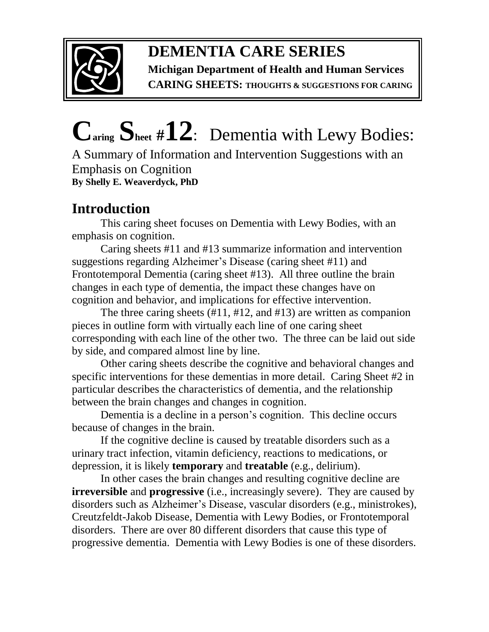

**Michigan Department of Health and Human Services CARING SHEETS: THOUGHTS & SUGGESTIONS FOR CARING**

# **Caring Sheet #12**:Dementia with Lewy Bodies:

A Summary of Information and Intervention Suggestions with an Emphasis on Cognition **By Shelly E. Weaverdyck, PhD**

## **Introduction**

This caring sheet focuses on Dementia with Lewy Bodies, with an emphasis on cognition.

Caring sheets #11 and #13 summarize information and intervention suggestions regarding Alzheimer's Disease (caring sheet #11) and Frontotemporal Dementia (caring sheet #13). All three outline the brain changes in each type of dementia, the impact these changes have on cognition and behavior, and implications for effective intervention.

The three caring sheets (#11, #12, and #13) are written as companion pieces in outline form with virtually each line of one caring sheet corresponding with each line of the other two. The three can be laid out side by side, and compared almost line by line.

Other caring sheets describe the cognitive and behavioral changes and specific interventions for these dementias in more detail. Caring Sheet #2 in particular describes the characteristics of dementia, and the relationship between the brain changes and changes in cognition.

Dementia is a decline in a person's cognition. This decline occurs because of changes in the brain.

If the cognitive decline is caused by treatable disorders such as a urinary tract infection, vitamin deficiency, reactions to medications, or depression, it is likely **temporary** and **treatable** (e.g., delirium).

In other cases the brain changes and resulting cognitive decline are **irreversible** and **progressive** (i.e., increasingly severe). They are caused by disorders such as Alzheimer's Disease, vascular disorders (e.g., ministrokes), Creutzfeldt-Jakob Disease, Dementia with Lewy Bodies, or Frontotemporal disorders. There are over 80 different disorders that cause this type of progressive dementia. Dementia with Lewy Bodies is one of these disorders.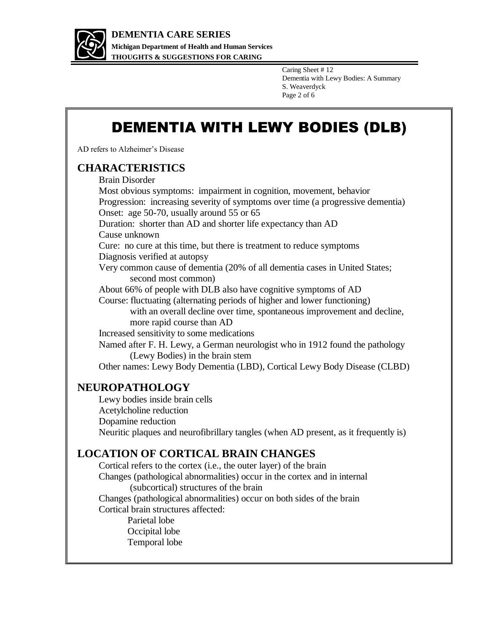

Caring Sheet # 12 Dementia with Lewy Bodies: A Summary S. Weaverdyck Page 2 of 6

## DEMENTIA WITH LEWY BODIES (DLB)

AD refers to Alzheimer's Disease

#### **CHARACTERISTICS**

Brain Disorder Most obvious symptoms: impairment in cognition, movement, behavior Progression: increasing severity of symptoms over time (a progressive dementia) Onset: age 50-70, usually around 55 or 65 Duration: shorter than AD and shorter life expectancy than AD Cause unknown Cure: no cure at this time, but there is treatment to reduce symptoms Diagnosis verified at autopsy Very common cause of dementia (20% of all dementia cases in United States; second most common) About 66% of people with DLB also have cognitive symptoms of AD Course: fluctuating (alternating periods of higher and lower functioning) with an overall decline over time, spontaneous improvement and decline, more rapid course than AD Increased sensitivity to some medications Named after F. H. Lewy, a German neurologist who in 1912 found the pathology (Lewy Bodies) in the brain stem Other names: Lewy Body Dementia (LBD), Cortical Lewy Body Disease (CLBD)

#### **NEUROPATHOLOGY**

Lewy bodies inside brain cells Acetylcholine reduction Dopamine reduction Neuritic plaques and neurofibrillary tangles (when AD present, as it frequently is)

#### **LOCATION OF CORTICAL BRAIN CHANGES**

Cortical refers to the cortex (i.e., the outer layer) of the brain Changes (pathological abnormalities) occur in the cortex and in internal (subcortical) structures of the brain Changes (pathological abnormalities) occur on both sides of the brain Cortical brain structures affected: Parietal lobe Occipital lobe Temporal lobe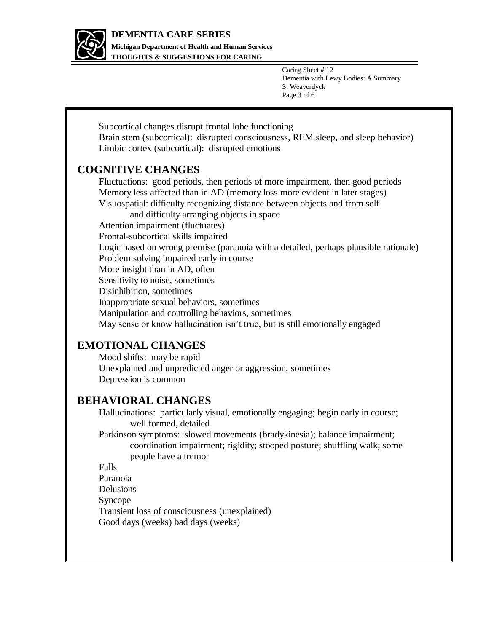

**Michigan Department of Health and Human Services THOUGHTS & SUGGESTIONS FOR CARING**

> Caring Sheet # 12 Dementia with Lewy Bodies: A Summary S. Weaverdyck Page 3 of 6

Subcortical changes disrupt frontal lobe functioning Brain stem (subcortical): disrupted consciousness, REM sleep, and sleep behavior) Limbic cortex (subcortical): disrupted emotions

#### **COGNITIVE CHANGES**

Fluctuations: good periods, then periods of more impairment, then good periods Memory less affected than in AD (memory loss more evident in later stages) Visuospatial: difficulty recognizing distance between objects and from self and difficulty arranging objects in space Attention impairment (fluctuates) Frontal-subcortical skills impaired Logic based on wrong premise (paranoia with a detailed, perhaps plausible rationale) Problem solving impaired early in course More insight than in AD, often Sensitivity to noise, sometimes Disinhibition, sometimes Inappropriate sexual behaviors, sometimes Manipulation and controlling behaviors, sometimes May sense or know hallucination isn't true, but is still emotionally engaged

#### **EMOTIONAL CHANGES**

Mood shifts: may be rapid Unexplained and unpredicted anger or aggression, sometimes Depression is common

#### **BEHAVIORAL CHANGES**

Hallucinations: particularly visual, emotionally engaging; begin early in course; well formed, detailed

Parkinson symptoms: slowed movements (bradykinesia); balance impairment; coordination impairment; rigidity; stooped posture; shuffling walk; some people have a tremor

Falls

Paranoia Delusions Syncope Transient loss of consciousness (unexplained) Good days (weeks) bad days (weeks)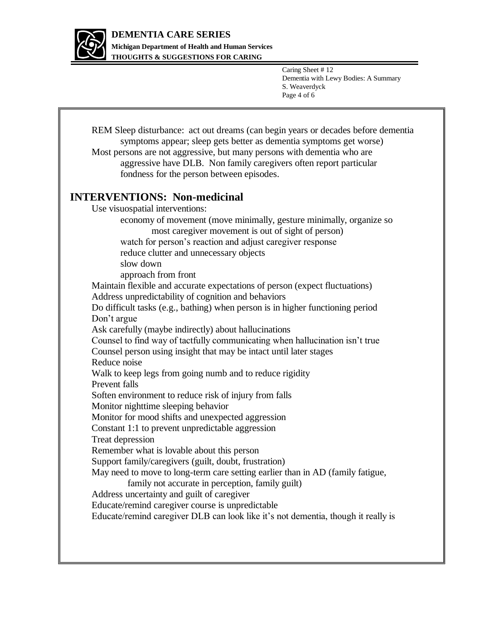

**Michigan Department of Health and Human Services THOUGHTS & SUGGESTIONS FOR CARING**

> Caring Sheet # 12 Dementia with Lewy Bodies: A Summary S. Weaverdyck Page 4 of 6

REM Sleep disturbance: act out dreams (can begin years or decades before dementia symptoms appear; sleep gets better as dementia symptoms get worse) Most persons are not aggressive, but many persons with dementia who are aggressive have DLB. Non family caregivers often report particular fondness for the person between episodes. **INTERVENTIONS: Non-medicinal**  Use visuospatial interventions: economy of movement (move minimally, gesture minimally, organize so most caregiver movement is out of sight of person) watch for person's reaction and adjust caregiver response reduce clutter and unnecessary objects slow down approach from front Maintain flexible and accurate expectations of person (expect fluctuations) Address unpredictability of cognition and behaviors Do difficult tasks (e.g., bathing) when person is in higher functioning period Don't argue Ask carefully (maybe indirectly) about hallucinations Counsel to find way of tactfully communicating when hallucination isn't true Counsel person using insight that may be intact until later stages Reduce noise Walk to keep legs from going numb and to reduce rigidity Prevent falls Soften environment to reduce risk of injury from falls Monitor nighttime sleeping behavior Monitor for mood shifts and unexpected aggression Constant 1:1 to prevent unpredictable aggression Treat depression Remember what is lovable about this person Support family/caregivers (guilt, doubt, frustration) May need to move to long-term care setting earlier than in AD (family fatigue, family not accurate in perception, family guilt) Address uncertainty and guilt of caregiver Educate/remind caregiver course is unpredictable Educate/remind caregiver DLB can look like it's not dementia, though it really is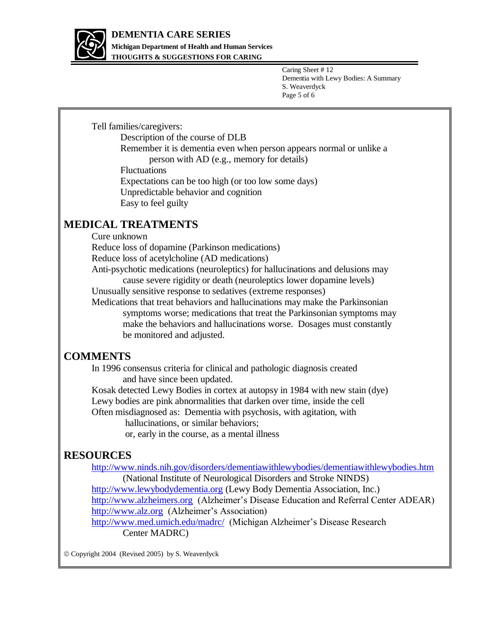

**Michigan Department of Health and Human Services THOUGHTS & SUGGESTIONS FOR CARING**

> Caring Sheet # 12 Dementia with Lewy Bodies: A Summary S. Weaverdyck Page 5 of 6

Tell families/caregivers:

Description of the course of DLB Remember it is dementia even when person appears normal or unlike a person with AD (e.g., memory for details)

Fluctuations

Expectations can be too high (or too low some days) Unpredictable behavior and cognition Easy to feel guilty

#### **MEDICAL TREATMENTS**

Cure unknown

Reduce loss of dopamine (Parkinson medications)

Reduce loss of acetylcholine (AD medications)

Anti-psychotic medications (neuroleptics) for hallucinations and delusions may cause severe rigidity or death (neuroleptics lower dopamine levels)

Unusually sensitive response to sedatives (extreme responses)

Medications that treat behaviors and hallucinations may make the Parkinsonian symptoms worse; medications that treat the Parkinsonian symptoms may make the behaviors and hallucinations worse. Dosages must constantly be monitored and adjusted.

#### **COMMENTS**

In 1996 consensus criteria for clinical and pathologic diagnosis created and have since been updated.

Kosak detected Lewy Bodies in cortex at autopsy in 1984 with new stain (dye) Lewy bodies are pink abnormalities that darken over time, inside the cell Often misdiagnosed as: Dementia with psychosis, with agitation, with

hallucinations, or similar behaviors;

or, early in the course, as a mental illness

#### **RESOURCES**

<http://www.ninds.nih.gov/disorders/dementiawithlewybodies/dementiawithlewybodies.htm>

(National Institute of Neurological Disorders and Stroke NINDS)

[http://www.lewybodydementia.org](http://www.lewybodydementia.org/) (Lewy Body Dementia Association, Inc.)

[http://www.alzheimers.org](http://www.alzheimers.org/) (Alzheimer's Disease Education and Referral Center ADEAR) [http://www.alz.org](http://www.alz.org/) (Alzheimer's Association)

<http://www.med.umich.edu/madrc/>(Michigan Alzheimer's Disease Research Center MADRC)

Copyright 2004 (Revised 2005) by S. Weaverdyck